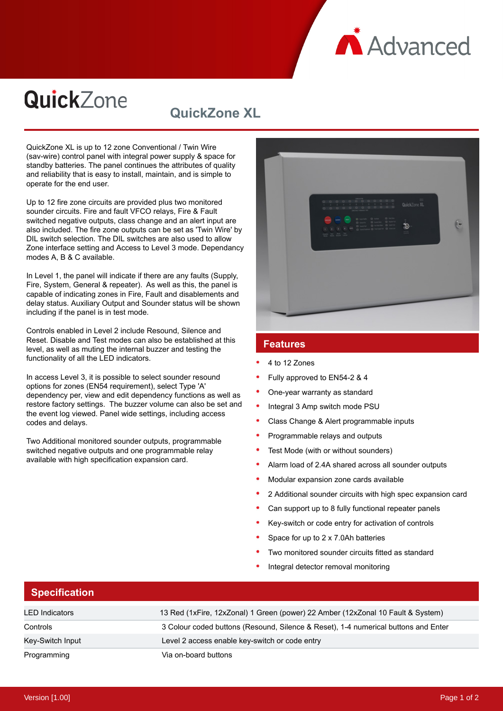**A** Advanced

# QuickZone

# **QuickZone XL**

QuickZone XL is up to 12 zone Conventional / Twin Wire (sav-wire) control panel with integral power supply & space for standby batteries. The panel continues the attributes of quality and reliability that is easy to install, maintain, and is simple to operate for the end user.

Up to 12 fire zone circuits are provided plus two monitored sounder circuits. Fire and fault VFCO relays, Fire & Fault switched negative outputs, class change and an alert input are also included. The fire zone outputs can be set as 'Twin Wire' by DIL switch selection. The DIL switches are also used to allow Zone interface setting and Access to Level 3 mode. Dependancy modes A, B & C available.

In Level 1, the panel will indicate if there are any faults (Supply, Fire, System, General & repeater). As well as this, the panel is capable of indicating zones in Fire, Fault and disablements and delay status. Auxiliary Output and Sounder status will be shown including if the panel is in test mode.

Controls enabled in Level 2 include Resound, Silence and Reset. Disable and Test modes can also be established at this level, as well as muting the internal buzzer and testing the functionality of all the LED indicators.

In access Level 3, it is possible to select sounder resound options for zones (EN54 requirement), select Type 'A' dependency per, view and edit dependency functions as well as restore factory settings. The buzzer volume can also be set and the event log viewed. Panel wide settings, including access codes and delays.

Two Additional monitored sounder outputs, programmable switched negative outputs and one programmable relay available with high specification expansion card.



#### **Features**

- 4 to 12 Zones
- Fully approved to EN54-2 & 4
- One-year warranty as standard
- Integral 3 Amp switch mode PSU
- Class Change & Alert programmable inputs
- Programmable relays and outputs
- Test Mode (with or without sounders)
- Alarm load of 2.4A shared across all sounder outputs
- Modular expansion zone cards available
- 2 Additional sounder circuits with high spec expansion card
- Can support up to 8 fully functional repeater panels
- Key-switch or code entry for activation of controls
- Space for up to 2 x 7.0Ah batteries
- Two monitored sounder circuits fitted as standard
- Integral detector removal monitoring

#### **Specification**

| LED Indicators   | 13 Red (1xFire, 12xZonal) 1 Green (power) 22 Amber (12xZonal 10 Fault & System)    |
|------------------|------------------------------------------------------------------------------------|
| Controls         | 3 Colour coded buttons (Resound, Silence & Reset), 1-4 numerical buttons and Enter |
| Key-Switch Input | Level 2 access enable key-switch or code entry                                     |
| Programming      | Via on-board buttons                                                               |